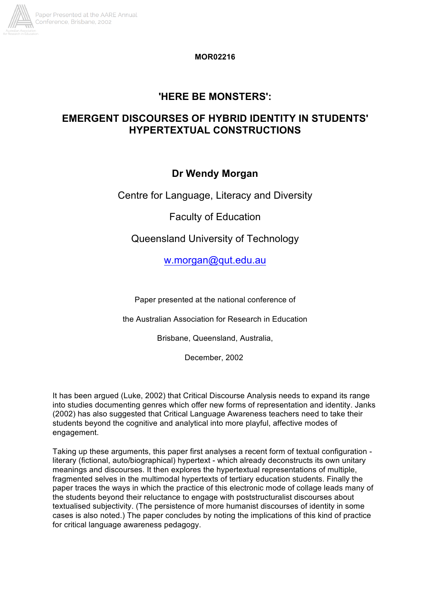

**MOR02216**

# **'HERE BE MONSTERS':**

# **EMERGENT DISCOURSES OF HYBRID IDENTITY IN STUDENTS' HYPERTEXTUAL CONSTRUCTIONS**

# **Dr Wendy Morgan**

Centre for Language, Literacy and Diversity

Faculty of Education

Queensland University of Technology

w.morgan@qut.edu.au

Paper presented at the national conference of

the Australian Association for Research in Education

Brisbane, Queensland, Australia,

December, 2002

It has been argued (Luke, 2002) that Critical Discourse Analysis needs to expand its range into studies documenting genres which offer new forms of representation and identity. Janks (2002) has also suggested that Critical Language Awareness teachers need to take their students beyond the cognitive and analytical into more playful, affective modes of engagement.

Taking up these arguments, this paper first analyses a recent form of textual configuration literary (fictional, auto/biographical) hypertext - which already deconstructs its own unitary meanings and discourses. It then explores the hypertextual representations of multiple, fragmented selves in the multimodal hypertexts of tertiary education students. Finally the paper traces the ways in which the practice of this electronic mode of collage leads many of the students beyond their reluctance to engage with poststructuralist discourses about textualised subjectivity. (The persistence of more humanist discourses of identity in some cases is also noted.) The paper concludes by noting the implications of this kind of practice for critical language awareness pedagogy.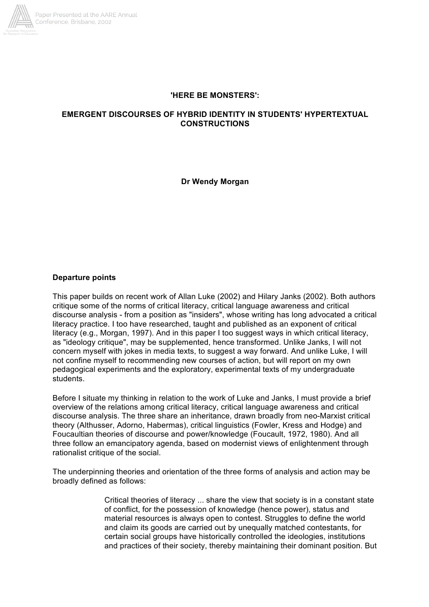

## **'HERE BE MONSTERS':**

# **EMERGENT DISCOURSES OF HYBRID IDENTITY IN STUDENTS' HYPERTEXTUAL CONSTRUCTIONS**

**Dr Wendy Morgan**

## **Departure points**

This paper builds on recent work of Allan Luke (2002) and Hilary Janks (2002). Both authors critique some of the norms of critical literacy, critical language awareness and critical discourse analysis - from a position as "insiders", whose writing has long advocated a critical literacy practice. I too have researched, taught and published as an exponent of critical literacy (e.g., Morgan, 1997). And in this paper I too suggest ways in which critical literacy, as "ideology critique", may be supplemented, hence transformed. Unlike Janks, I will not concern myself with jokes in media texts, to suggest a way forward. And unlike Luke, I will not confine myself to recommending new courses of action, but will report on my own pedagogical experiments and the exploratory, experimental texts of my undergraduate students.

Before I situate my thinking in relation to the work of Luke and Janks, I must provide a brief overview of the relations among critical literacy, critical language awareness and critical discourse analysis. The three share an inheritance, drawn broadly from neo-Marxist critical theory (Althusser, Adorno, Habermas), critical linguistics (Fowler, Kress and Hodge) and Foucaultian theories of discourse and power/knowledge (Foucault, 1972, 1980). And all three follow an emancipatory agenda, based on modernist views of enlightenment through rationalist critique of the social.

The underpinning theories and orientation of the three forms of analysis and action may be broadly defined as follows:

> Critical theories of literacy ... share the view that society is in a constant state of conflict, for the possession of knowledge (hence power), status and material resources is always open to contest. Struggles to define the world and claim its goods are carried out by unequally matched contestants, for certain social groups have historically controlled the ideologies, institutions and practices of their society, thereby maintaining their dominant position. But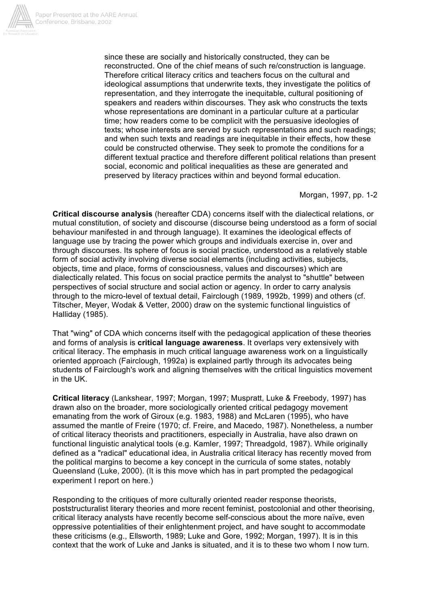

since these are socially and historically constructed, they can be reconstructed. One of the chief means of such re/construction is language. Therefore critical literacy critics and teachers focus on the cultural and ideological assumptions that underwrite texts, they investigate the politics of representation, and they interrogate the inequitable, cultural positioning of speakers and readers within discourses. They ask who constructs the texts whose representations are dominant in a particular culture at a particular time; how readers come to be complicit with the persuasive ideologies of texts; whose interests are served by such representations and such readings; and when such texts and readings are inequitable in their effects, how these could be constructed otherwise. They seek to promote the conditions for a different textual practice and therefore different political relations than present social, economic and political inequalities as these are generated and preserved by literacy practices within and beyond formal education.

### Morgan, 1997, pp. 1-2

**Critical discourse analysis** (hereafter CDA) concerns itself with the dialectical relations, or mutual constitution, of society and discourse (discourse being understood as a form of social behaviour manifested in and through language). It examines the ideological effects of language use by tracing the power which groups and individuals exercise in, over and through discourses. Its sphere of focus is social practice, understood as a relatively stable form of social activity involving diverse social elements (including activities, subjects, objects, time and place, forms of consciousness, values and discourses) which are dialectically related. This focus on social practice permits the analyst to "shuttle" between perspectives of social structure and social action or agency. In order to carry analysis through to the micro-level of textual detail, Fairclough (1989, 1992b, 1999) and others (cf. Titscher, Meyer, Wodak & Vetter, 2000) draw on the systemic functional linguistics of Halliday (1985).

That "wing" of CDA which concerns itself with the pedagogical application of these theories and forms of analysis is **critical language awareness**. It overlaps very extensively with critical literacy. The emphasis in much critical language awareness work on a linguistically oriented approach (Fairclough, 1992a) is explained partly through its advocates being students of Fairclough's work and aligning themselves with the critical linguistics movement in the UK.

**Critical literacy** (Lankshear, 1997; Morgan, 1997; Muspratt, Luke & Freebody, 1997) has drawn also on the broader, more sociologically oriented critical pedagogy movement emanating from the work of Giroux (e.g. 1983, 1988) and McLaren (1995), who have assumed the mantle of Freire (1970; cf. Freire, and Macedo, 1987). Nonetheless, a number of critical literacy theorists and practitioners, especially in Australia, have also drawn on functional linguistic analytical tools (e.g. Kamler, 1997; Threadgold, 1987). While originally defined as a "radical" educational idea, in Australia critical literacy has recently moved from the political margins to become a key concept in the curricula of some states, notably Queensland (Luke, 2000). (It is this move which has in part prompted the pedagogical experiment I report on here.)

Responding to the critiques of more culturally oriented reader response theorists, poststructuralist literary theories and more recent feminist, postcolonial and other theorising, critical literacy analysts have recently become self-conscious about the more naïve, even oppressive potentialities of their enlightenment project, and have sought to accommodate these criticisms (e.g., Ellsworth, 1989; Luke and Gore, 1992; Morgan, 1997). It is in this context that the work of Luke and Janks is situated, and it is to these two whom I now turn.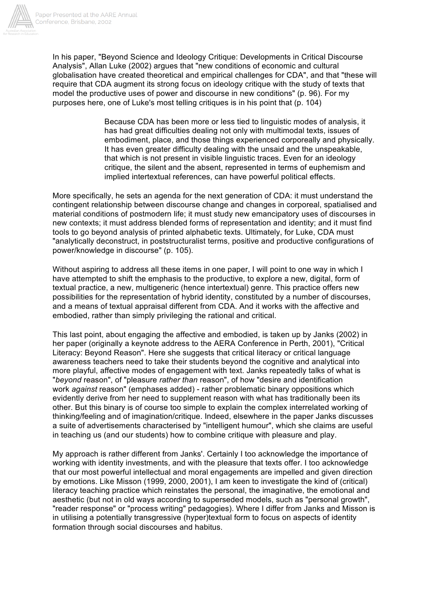

In his paper, "Beyond Science and Ideology Critique: Developments in Critical Discourse Analysis", Allan Luke (2002) argues that "new conditions of economic and cultural globalisation have created theoretical and empirical challenges for CDA", and that "these will require that CDA augment its strong focus on ideology critique with the study of texts that model the productive uses of power and discourse in new conditions" (p. 96). For my purposes here, one of Luke's most telling critiques is in his point that (p. 104)

> Because CDA has been more or less tied to linguistic modes of analysis, it has had great difficulties dealing not only with multimodal texts, issues of embodiment, place, and those things experienced corporeally and physically. It has even greater difficulty dealing with the unsaid and the unspeakable, that which is not present in visible linguistic traces. Even for an ideology critique, the silent and the absent, represented in terms of euphemism and implied intertextual references, can have powerful political effects.

More specifically, he sets an agenda for the next generation of CDA: it must understand the contingent relationship between discourse change and changes in corporeal, spatialised and material conditions of postmodern life; it must study new emancipatory uses of discourses in new contexts; it must address blended forms of representation and identity; and it must find tools to go beyond analysis of printed alphabetic texts. Ultimately, for Luke, CDA must "analytically deconstruct, in poststructuralist terms, positive and productive configurations of power/knowledge in discourse" (p. 105).

Without aspiring to address all these items in one paper, I will point to one way in which I have attempted to shift the emphasis to the productive, to explore a new, digital, form of textual practice, a new, multigeneric (hence intertextual) genre. This practice offers new possibilities for the representation of hybrid identity, constituted by a number of discourses, and a means of textual appraisal different from CDA. And it works with the affective and embodied, rather than simply privileging the rational and critical.

This last point, about engaging the affective and embodied, is taken up by Janks (2002) in her paper (originally a keynote address to the AERA Conference in Perth, 2001), "Critical Literacy: Beyond Reason". Here she suggests that critical literacy or critical language awareness teachers need to take their students beyond the cognitive and analytical into more playful, affective modes of engagement with text. Janks repeatedly talks of what is "*beyond* reason", of "pleasure *rather than* reason", of how "desire and identification work *against* reason" (emphases added) - rather problematic binary oppositions which evidently derive from her need to supplement reason with what has traditionally been its other. But this binary is of course too simple to explain the complex interrelated working of thinking/feeling and of imagination/critique. Indeed, elsewhere in the paper Janks discusses a suite of advertisements characterised by "intelligent humour", which she claims are useful in teaching us (and our students) how to combine critique with pleasure and play.

My approach is rather different from Janks'. Certainly I too acknowledge the importance of working with identity investments, and with the pleasure that texts offer. I too acknowledge that our most powerful intellectual and moral engagements are impelled and given direction by emotions. Like Misson (1999, 2000, 2001), I am keen to investigate the kind of (critical) literacy teaching practice which reinstates the personal, the imaginative, the emotional and aesthetic (but not in old ways according to superseded models, such as "personal growth", "reader response" or "process writing" pedagogies). Where I differ from Janks and Misson is in utilising a potentially transgressive (hyper)textual form to focus on aspects of identity formation through social discourses and habitus.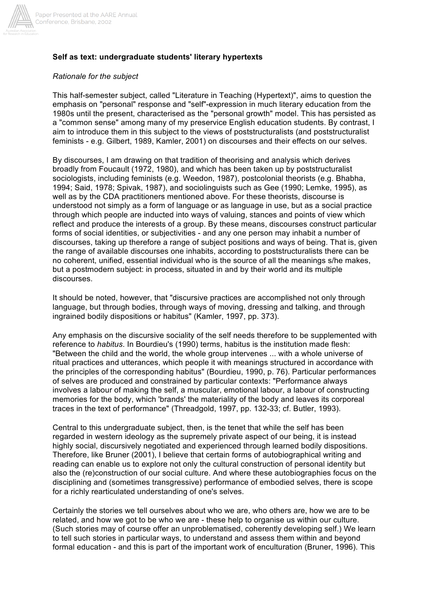

## **Self as text: undergraduate students' literary hypertexts**

#### *Rationale for the subject*

This half-semester subject, called "Literature in Teaching (Hypertext)", aims to question the emphasis on "personal" response and "self"-expression in much literary education from the 1980s until the present, characterised as the "personal growth" model. This has persisted as a "common sense" among many of my preservice English education students. By contrast, I aim to introduce them in this subject to the views of poststructuralists (and poststructuralist feminists - e.g. Gilbert, 1989, Kamler, 2001) on discourses and their effects on our selves.

By discourses, I am drawing on that tradition of theorising and analysis which derives broadly from Foucault (1972, 1980), and which has been taken up by poststructuralist sociologists, including feminists (e.g. Weedon, 1987), postcolonial theorists (e.g. Bhabha, 1994; Said, 1978; Spivak, 1987), and sociolinguists such as Gee (1990; Lemke, 1995), as well as by the CDA practitioners mentioned above. For these theorists, discourse is understood not simply as a form of language or as language in use, but as a social practice through which people are inducted into ways of valuing, stances and points of view which reflect and produce the interests of a group. By these means, discourses construct particular forms of social identities, or subjectivities - and any one person may inhabit a number of discourses, taking up therefore a range of subject positions and ways of being. That is, given the range of available discourses one inhabits, according to poststructuralists there can be no coherent, unified, essential individual who is the source of all the meanings s/he makes, but a postmodern subject: in process, situated in and by their world and its multiple discourses.

It should be noted, however, that "discursive practices are accomplished not only through language, but through bodies, through ways of moving, dressing and talking, and through ingrained bodily dispositions or habitus" (Kamler, 1997, pp. 373).

Any emphasis on the discursive sociality of the self needs therefore to be supplemented with reference to *habitus*. In Bourdieu's (1990) terms, habitus is the institution made flesh: "Between the child and the world, the whole group intervenes ... with a whole universe of ritual practices and utterances, which people it with meanings structured in accordance with the principles of the corresponding habitus" (Bourdieu, 1990, p. 76). Particular performances of selves are produced and constrained by particular contexts: "Performance always involves a labour of making the self, a muscular, emotional labour, a labour of constructing memories for the body, which 'brands' the materiality of the body and leaves its corporeal traces in the text of performance" (Threadgold, 1997, pp. 132-33; cf. Butler, 1993).

Central to this undergraduate subject, then, is the tenet that while the self has been regarded in western ideology as the supremely private aspect of our being, it is instead highly social, discursively negotiated and experienced through learned bodily dispositions. Therefore, like Bruner (2001), I believe that certain forms of autobiographical writing and reading can enable us to explore not only the cultural construction of personal identity but also the (re)construction of our social culture. And where these autobiographies focus on the disciplining and (sometimes transgressive) performance of embodied selves, there is scope for a richly rearticulated understanding of one's selves.

Certainly the stories we tell ourselves about who we are, who others are, how we are to be related, and how we got to be who we are - these help to organise us within our culture. (Such stories may of course offer an unproblematised, coherently developing self.) We learn to tell such stories in particular ways, to understand and assess them within and beyond formal education - and this is part of the important work of enculturation (Bruner, 1996). This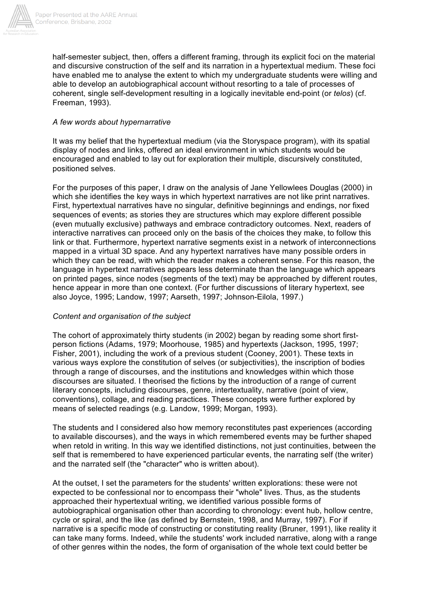

half-semester subject, then, offers a different framing, through its explicit foci on the material and discursive construction of the self and its narration in a hypertextual medium. These foci have enabled me to analyse the extent to which my undergraduate students were willing and able to develop an autobiographical account without resorting to a tale of processes of coherent, single self-development resulting in a logically inevitable end-point (or *telos*) (cf. Freeman, 1993).

# *A few words about hypernarrative*

It was my belief that the hypertextual medium (via the Storyspace program), with its spatial display of nodes and links, offered an ideal environment in which students would be encouraged and enabled to lay out for exploration their multiple, discursively constituted, positioned selves.

For the purposes of this paper, I draw on the analysis of Jane Yellowlees Douglas (2000) in which she identifies the key ways in which hypertext narratives are not like print narratives. First, hypertextual narratives have no singular, definitive beginnings and endings, nor fixed sequences of events; as stories they are structures which may explore different possible (even mutually exclusive) pathways and embrace contradictory outcomes. Next, readers of interactive narratives can proceed only on the basis of the choices they make, to follow this link or that. Furthermore, hypertext narrative segments exist in a network of interconnections mapped in a virtual 3D space. And any hypertext narratives have many possible orders in which they can be read, with which the reader makes a coherent sense. For this reason, the language in hypertext narratives appears less determinate than the language which appears on printed pages, since nodes (segments of the text) may be approached by different routes, hence appear in more than one context. (For further discussions of literary hypertext, see also Joyce, 1995; Landow, 1997; Aarseth, 1997; Johnson-Eilola, 1997.)

## *Content and organisation of the subject*

The cohort of approximately thirty students (in 2002) began by reading some short firstperson fictions (Adams, 1979; Moorhouse, 1985) and hypertexts (Jackson, 1995, 1997; Fisher, 2001), including the work of a previous student (Cooney, 2001). These texts in various ways explore the constitution of selves (or subjectivities), the inscription of bodies through a range of discourses, and the institutions and knowledges within which those discourses are situated. I theorised the fictions by the introduction of a range of current literary concepts, including discourses, genre, intertextuality, narrative (point of view, conventions), collage, and reading practices. These concepts were further explored by means of selected readings (e.g. Landow, 1999; Morgan, 1993).

The students and I considered also how memory reconstitutes past experiences (according to available discourses), and the ways in which remembered events may be further shaped when retold in writing. In this way we identified distinctions, not just continuities, between the self that is remembered to have experienced particular events, the narrating self (the writer) and the narrated self (the "character" who is written about).

At the outset, I set the parameters for the students' written explorations: these were not expected to be confessional nor to encompass their "whole" lives. Thus, as the students approached their hypertextual writing, we identified various possible forms of autobiographical organisation other than according to chronology: event hub, hollow centre, cycle or spiral, and the like (as defined by Bernstein, 1998, and Murray, 1997). For if narrative is a specific mode of constructing or constituting reality (Bruner, 1991), like reality it can take many forms. Indeed, while the students' work included narrative, along with a range of other genres within the nodes, the form of organisation of the whole text could better be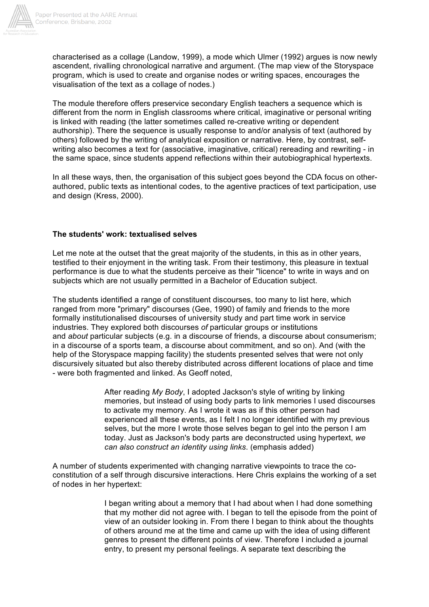

characterised as a collage (Landow, 1999), a mode which Ulmer (1992) argues is now newly ascendent, rivalling chronological narrative and argument. (The map view of the Storyspace program, which is used to create and organise nodes or writing spaces, encourages the visualisation of the text as a collage of nodes.)

The module therefore offers preservice secondary English teachers a sequence which is different from the norm in English classrooms where critical, imaginative or personal writing is linked with reading (the latter sometimes called re-creative writing or dependent authorship). There the sequence is usually response to and/or analysis of text (authored by others) followed by the writing of analytical exposition or narrative. Here, by contrast, selfwriting also becomes a text for (associative, imaginative, critical) rereading and rewriting - in the same space, since students append reflections within their autobiographical hypertexts.

In all these ways, then, the organisation of this subject goes beyond the CDA focus on otherauthored, public texts as intentional codes, to the agentive practices of text participation, use and design (Kress, 2000).

## **The students' work: textualised selves**

Let me note at the outset that the great majority of the students, in this as in other years, testified to their enjoyment in the writing task. From their testimony, this pleasure in textual performance is due to what the students perceive as their "licence" to write in ways and on subjects which are not usually permitted in a Bachelor of Education subject.

The students identified a range of constituent discourses, too many to list here, which ranged from more "primary" discourses (Gee, 1990) of family and friends to the more formally institutionalised discourses of university study and part time work in service industries. They explored both discourses *of* particular groups or institutions and *about* particular subjects (e.g. in a discourse of friends, a discourse about consumerism; in a discourse of a sports team, a discourse about commitment, and so on). And (with the help of the Storyspace mapping facility) the students presented selves that were not only discursively situated but also thereby distributed across different locations of place and time - were both fragmented and linked. As Geoff noted,

> After reading *My Body*, I adopted Jackson's style of writing by linking memories, but instead of using body parts to link memories I used discourses to activate my memory. As I wrote it was as if this other person had experienced all these events, as I felt I no longer identified with my previous selves, but the more I wrote those selves began to gel into the person I am today. Just as Jackson's body parts are deconstructed using hypertext, *we can also construct an identity using links*. (emphasis added)

A number of students experimented with changing narrative viewpoints to trace the coconstitution of a self through discursive interactions. Here Chris explains the working of a set of nodes in her hypertext:

> I began writing about a memory that I had about when I had done something that my mother did not agree with. I began to tell the episode from the point of view of an outsider looking in. From there I began to think about the thoughts of others around me at the time and came up with the idea of using different genres to present the different points of view. Therefore I included a journal entry, to present my personal feelings. A separate text describing the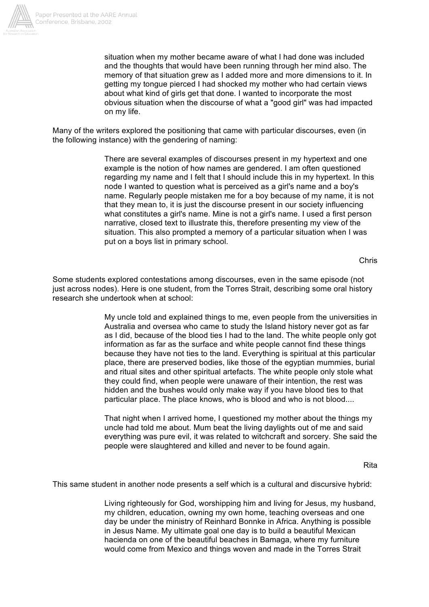

situation when my mother became aware of what I had done was included and the thoughts that would have been running through her mind also. The memory of that situation grew as I added more and more dimensions to it. In getting my tongue pierced I had shocked my mother who had certain views about what kind of girls get that done. I wanted to incorporate the most obvious situation when the discourse of what a "good girl" was had impacted on my life.

Many of the writers explored the positioning that came with particular discourses, even (in the following instance) with the gendering of naming:

> There are several examples of discourses present in my hypertext and one example is the notion of how names are gendered. I am often questioned regarding my name and I felt that I should include this in my hypertext. In this node I wanted to question what is perceived as a girl's name and a boy's name. Regularly people mistaken me for a boy because of my name, it is not that they mean to, it is just the discourse present in our society influencing what constitutes a girl's name. Mine is not a girl's name. I used a first person narrative, closed text to illustrate this, therefore presenting my view of the situation. This also prompted a memory of a particular situation when I was put on a boys list in primary school.

> > Chris

Some students explored contestations among discourses, even in the same episode (not just across nodes). Here is one student, from the Torres Strait, describing some oral history research she undertook when at school:

> My uncle told and explained things to me, even people from the universities in Australia and oversea who came to study the Island history never got as far as I did, because of the blood ties I had to the land. The white people only got information as far as the surface and white people cannot find these things because they have not ties to the land. Everything is spiritual at this particular place, there are preserved bodies, like those of the egyptian mummies, burial and ritual sites and other spiritual artefacts. The white people only stole what they could find, when people were unaware of their intention, the rest was hidden and the bushes would only make way if you have blood ties to that particular place. The place knows, who is blood and who is not blood....

> That night when I arrived home, I questioned my mother about the things my uncle had told me about. Mum beat the living daylights out of me and said everything was pure evil, it was related to witchcraft and sorcery. She said the people were slaughtered and killed and never to be found again.

> > Rita

This same student in another node presents a self which is a cultural and discursive hybrid:

Living righteously for God, worshipping him and living for Jesus, my husband, my children, education, owning my own home, teaching overseas and one day be under the ministry of Reinhard Bonnke in Africa. Anything is possible in Jesus Name. My ultimate goal one day is to build a beautiful Mexican hacienda on one of the beautiful beaches in Bamaga, where my furniture would come from Mexico and things woven and made in the Torres Strait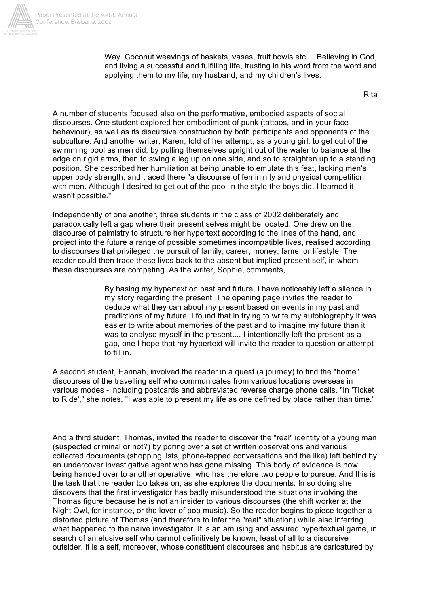

Way. Coconut weavings of baskets, vases, fruit bowls etc.... Believing in God, and living a successful and fulfilling life, trusting in his word from the word and applying them to my life, my husband, and my children's lives.

Rita

A number of students focused also on the performative, embodied aspects of social discourses. One student explored her embodiment of punk (tattoos, and in-your-face behaviour), as well as its discursive construction by both participants and opponents of the subculture. And another writer, Karen, told of her attempt, as a young girl, to get out of the swimming pool as men did, by pulling themselves upright out of the water to balance at the edge on rigid arms, then to swing a leg up on one side, and so to straighten up to a standing position. She described her humiliation at being unable to emulate this feat, lacking men's upper body strength, and traced there "a discourse of femininity and physical competition with men. Although I desired to get out of the pool in the style the boys did, I learned it wasn't possible."

Independently of one another, three students in the class of 2002 deliberately and paradoxically left a gap where their present selves might be located. One drew on the discourse of palmistry to structure her hypertext according to the lines of the hand, and project into the future a range of possible sometimes incompatible lives, realised according to discourses that privileged the pursuit of family, career, money, fame, or lifestyle. The reader could then trace these lives back to the absent but implied present self, in whom these discourses are competing. As the writer, Sophie, comments,

> By basing my hypertext on past and future, I have noticeably left a silence in my story regarding the present. The opening page invites the reader to deduce what they can about my present based on events in my past and predictions of my future. I found that in trying to write my autobiography it was easier to write about memories of the past and to imagine my future than it was to analyse myself in the present.... I intentionally left the present as a gap, one I hope that my hypertext will invite the reader to question or attempt to fill in.

A second student, Hannah, involved the reader in a quest (a journey) to find the "home" discourses of the travelling self who communicates from various locations overseas in various modes - including postcards and abbreviated reverse charge phone calls. "In 'Ticket to Ride'," she notes, "I was able to present my life as one defined by place rather than time."

And a third student, Thomas, invited the reader to discover the "real" identity of a young man (suspected criminal or not?) by poring over a set of written observations and various collected documents (shopping lists, phone-tapped conversations and the like) left behind by an undercover investigative agent who has gone missing. This body of evidence is now being handed over to another operative, who has therefore two people to pursue. And this is the task that the reader too takes on, as she explores the documents. In so doing she discovers that the first investigator has badly misunderstood the situations involving the Thomas figure because he is not an insider to various discourses (the shift worker at the Night Owl, for instance, or the lover of pop music). So the reader begins to piece together a distorted picture of Thomas (and therefore to infer the "real" situation) while also inferring what happened to the naïve investigator. It is an amusing and assured hypertextual game, in search of an elusive self who cannot definitively be known, least of all to a discursive outsider. It is a self, moreover, whose constituent discourses and habitus are caricatured by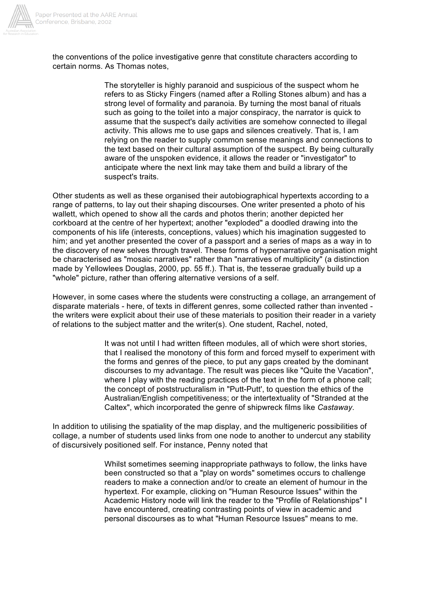

the conventions of the police investigative genre that constitute characters according to certain norms. As Thomas notes,

> The storyteller is highly paranoid and suspicious of the suspect whom he refers to as Sticky Fingers (named after a Rolling Stones album) and has a strong level of formality and paranoia. By turning the most banal of rituals such as going to the toilet into a major conspiracy, the narrator is quick to assume that the suspect's daily activities are somehow connected to illegal activity. This allows me to use gaps and silences creatively. That is, I am relying on the reader to supply common sense meanings and connections to the text based on their cultural assumption of the suspect. By being culturally aware of the unspoken evidence, it allows the reader or "investigator" to anticipate where the next link may take them and build a library of the suspect's traits.

Other students as well as these organised their autobiographical hypertexts according to a range of patterns, to lay out their shaping discourses. One writer presented a photo of his wallett, which opened to show all the cards and photos therin; another depicted her corkboard at the centre of her hypertext; another "exploded" a doodled drawing into the components of his life (interests, conceptions, values) which his imagination suggested to him; and yet another presented the cover of a passport and a series of maps as a way in to the discovery of new selves through travel. These forms of hypernarrative organisation might be characterised as "mosaic narratives" rather than "narratives of multiplicity" (a distinction made by Yellowlees Douglas, 2000, pp. 55 ff.). That is, the tesserae gradually build up a "whole" picture, rather than offering alternative versions of a self.

However, in some cases where the students were constructing a collage, an arrangement of disparate materials - here, of texts in different genres, some collected rather than invented the writers were explicit about their use of these materials to position their reader in a variety of relations to the subject matter and the writer(s). One student, Rachel, noted,

> It was not until I had written fifteen modules, all of which were short stories, that I realised the monotony of this form and forced myself to experiment with the forms and genres of the piece, to put any gaps created by the dominant discourses to my advantage. The result was pieces like "Quite the Vacation", where I play with the reading practices of the text in the form of a phone call; the concept of poststructuralism in "Putt-Putt', to question the ethics of the Australian/English competitiveness; or the intertextuality of "Stranded at the Caltex", which incorporated the genre of shipwreck films like *Castaway*.

In addition to utilising the spatiality of the map display, and the multigeneric possibilities of collage, a number of students used links from one node to another to undercut any stability of discursively positioned self. For instance, Penny noted that

> Whilst sometimes seeming inappropriate pathways to follow, the links have been constructed so that a "play on words" sometimes occurs to challenge readers to make a connection and/or to create an element of humour in the hypertext. For example, clicking on "Human Resource Issues" within the Academic History node will link the reader to the "Profile of Relationships" I have encountered, creating contrasting points of view in academic and personal discourses as to what "Human Resource Issues" means to me.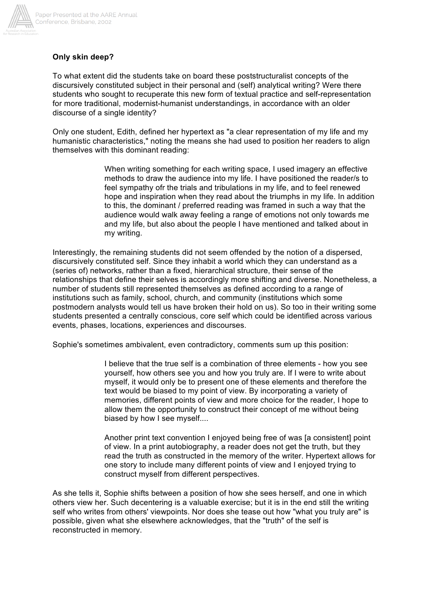

# **Only skin deep?**

To what extent did the students take on board these poststructuralist concepts of the discursively constituted subject in their personal and (self) analytical writing? Were there students who sought to recuperate this new form of textual practice and self-representation for more traditional, modernist-humanist understandings, in accordance with an older discourse of a single identity?

Only one student, Edith, defined her hypertext as "a clear representation of my life and my humanistic characteristics," noting the means she had used to position her readers to align themselves with this dominant reading:

> When writing something for each writing space, I used imagery an effective methods to draw the audience into my life. I have positioned the reader/s to feel sympathy ofr the trials and tribulations in my life, and to feel renewed hope and inspiration when they read about the triumphs in my life. In addition to this, the dominant / preferred reading was framed in such a way that the audience would walk away feeling a range of emotions not only towards me and my life, but also about the people I have mentioned and talked about in my writing.

Interestingly, the remaining students did not seem offended by the notion of a dispersed, discursively constituted self. Since they inhabit a world which they can understand as a (series of) networks, rather than a fixed, hierarchical structure, their sense of the relationships that define their selves is accordingly more shifting and diverse. Nonetheless, a number of students still represented themselves as defined according to a range of institutions such as family, school, church, and community (institutions which some postmodern analysts would tell us have broken their hold on us). So too in their writing some students presented a centrally conscious, core self which could be identified across various events, phases, locations, experiences and discourses.

Sophie's sometimes ambivalent, even contradictory, comments sum up this position:

I believe that the true self is a combination of three elements - how you see yourself, how others see you and how you truly are. If I were to write about myself, it would only be to present one of these elements and therefore the text would be biased to my point of view. By incorporating a variety of memories, different points of view and more choice for the reader, I hope to allow them the opportunity to construct their concept of me without being biased by how I see myself....

Another print text convention I enjoyed being free of was [a consistent] point of view. In a print autobiography, a reader does not get the truth, but they read the truth as constructed in the memory of the writer. Hypertext allows for one story to include many different points of view and I enjoyed trying to construct myself from different perspectives.

As she tells it, Sophie shifts between a position of how she sees herself, and one in which others view her. Such decentering is a valuable exercise; but it is in the end still the writing self who writes from others' viewpoints. Nor does she tease out how "what you truly are" is possible, given what she elsewhere acknowledges, that the "truth" of the self is reconstructed in memory.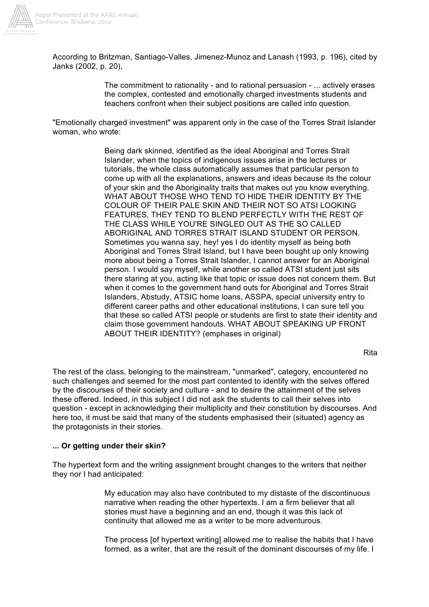

According to Britzman, Santiago-Valles, Jimenez-Munoz and Lanash (1993, p. 196), cited by Janks (2002, p. 20),

> The commitment to rationality - and to rational persuasion - ... actively erases the complex, contested and emotionally charged investments students and teachers confront when their subject positions are called into question.

"Emotionally charged investment" was apparent only in the case of the Torres Strait Islander woman, who wrote:

> Being dark skinned, identified as the ideal Aboriginal and Torres Strait Islander, when the topics of indigenous issues arise in the lectures or tutorials, the whole class automatically assumes that particular person to come up with all the explanations, answers and ideas because its the colour of your skin and the Aboriginality traits that makes out you know everything. WHAT ABOUT THOSE WHO TEND TO HIDE THEIR IDENTITY BY THE COLOUR OF THEIR PALE SKIN AND THEIR NOT SO ATSI LOOKING FEATURES, THEY TEND TO BLEND PERFECTLY WITH THE REST OF THE CLASS WHILE YOU'RE SINGLED OUT AS THE SO CALLED ABORIGINAL AND TORRES STRAIT ISLAND STUDENT OR PERSON. Sometimes you wanna say, hey! yes I do identity myself as being both Aboriginal and Torres Strait Island, but I have been bought up only knowing more about being a Torres Strait Islander, I cannot answer for an Aboriginal person. I would say myself, while another so called ATSI student just sits there staring at you, acting like that topic or issue does not concern them. But when it comes to the government hand outs for Aboriginal and Torres Strait Islanders, Abstudy, ATSIC home loans, ASSPA, special university entry to different career paths and other educational institutions, I can sure tell you that these so called ATSI people or students are first to state their identity and claim those government handouts. WHAT ABOUT SPEAKING UP FRONT ABOUT THEIR IDENTITY? (emphases in original)

> > Rita

The rest of the class, belonging to the mainstream, "unmarked", category, encountered no such challenges and seemed for the most part contented to identify with the selves offered by the discourses of their society and culture - and to desire the attainment of the selves these offered. Indeed, in this subject I did not ask the students to call their selves into question - except in acknowledging their multiplicity and their constitution by discourses. And here too, it must be said that many of the students emphasised their (situated) agency as the protagonists in their stories.

#### **... Or getting under their skin?**

The hypertext form and the writing assignment brought changes to the writers that neither they nor I had anticipated:

> My education may also have contributed to my distaste of the discontinuous narrative when reading the other hypertexts. I am a firm believer that all stories must have a beginning and an end, though it was this lack of continuity that allowed me as a writer to be more adventurous.

The process [of hypertext writing] allowed me to realise the habits that I have formed, as a writer, that are the result of the dominant discourses of my life. I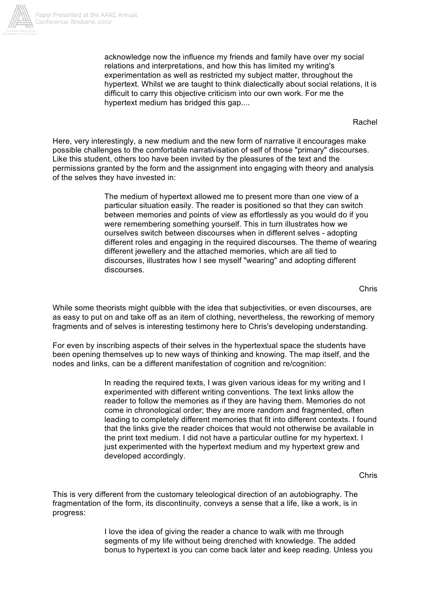

acknowledge now the influence my friends and family have over my social relations and interpretations, and how this has limited my writing's experimentation as well as restricted my subject matter, throughout the hypertext. Whilst we are taught to think dialectically about social relations, it is difficult to carry this objective criticism into our own work. For me the hypertext medium has bridged this gap....

Rachel

Here, very interestingly, a new medium and the new form of narrative it encourages make possible challenges to the comfortable narrativisation of self of those "primary" discourses. Like this student, others too have been invited by the pleasures of the text and the permissions granted by the form and the assignment into engaging with theory and analysis of the selves they have invested in:

> The medium of hypertext allowed me to present more than one view of a particular situation easily. The reader is positioned so that they can switch between memories and points of view as effortlessly as you would do if you were remembering something yourself. This in turn illustrates how we ourselves switch between discourses when in different selves - adopting different roles and engaging in the required discourses. The theme of wearing different jewellery and the attached memories, which are all tied to discourses, illustrates how I see myself "wearing" and adopting different discourses.

> > Chris

While some theorists might quibble with the idea that subjectivities, or even discourses, are as easy to put on and take off as an item of clothing, nevertheless, the reworking of memory fragments and of selves is interesting testimony here to Chris's developing understanding.

For even by inscribing aspects of their selves in the hypertextual space the students have been opening themselves up to new ways of thinking and knowing. The map itself, and the nodes and links, can be a different manifestation of cognition and re/cognition:

> In reading the required texts, I was given various ideas for my writing and I experimented with different writing conventions. The text links allow the reader to follow the memories as if they are having them. Memories do not come in chronological order; they are more random and fragmented, often leading to completely different memories that fit into different contexts. I found that the links give the reader choices that would not otherwise be available in the print text medium. I did not have a particular outline for my hypertext. I just experimented with the hypertext medium and my hypertext grew and developed accordingly.

> > Chris

This is very different from the customary teleological direction of an autobiography. The fragmentation of the form, its discontinuity, conveys a sense that a life, like a work, is in progress:

> I love the idea of giving the reader a chance to walk with me through segments of my life without being drenched with knowledge. The added bonus to hypertext is you can come back later and keep reading. Unless you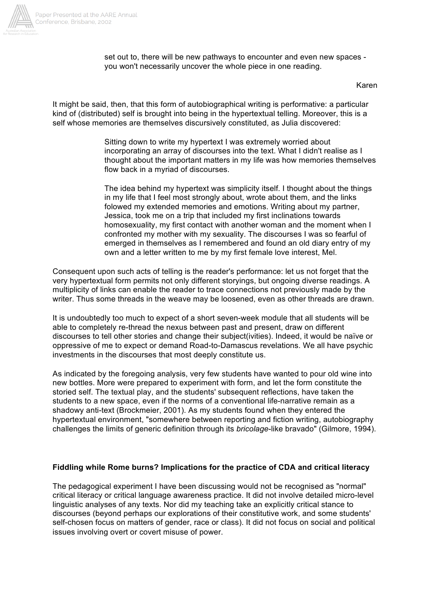

set out to, there will be new pathways to encounter and even new spaces you won't necessarily uncover the whole piece in one reading.

#### Karen

It might be said, then, that this form of autobiographical writing is performative: a particular kind of (distributed) self is brought into being in the hypertextual telling. Moreover, this is a self whose memories are themselves discursively constituted, as Julia discovered:

> Sitting down to write my hypertext I was extremely worried about incorporating an array of discourses into the text. What I didn't realise as I thought about the important matters in my life was how memories themselves flow back in a myriad of discourses.

The idea behind my hypertext was simplicity itself. I thought about the things in my life that I feel most strongly about, wrote about them, and the links folowed my extended memories and emotions. Writing about my partner, Jessica, took me on a trip that included my first inclinations towards homosexuality, my first contact with another woman and the moment when I confronted my mother with my sexuality. The discourses I was so fearful of emerged in themselves as I remembered and found an old diary entry of my own and a letter written to me by my first female love interest, Mel.

Consequent upon such acts of telling is the reader's performance: let us not forget that the very hypertextual form permits not only different storyings, but ongoing diverse readings. A multiplicity of links can enable the reader to trace connections not previously made by the writer. Thus some threads in the weave may be loosened, even as other threads are drawn.

It is undoubtedly too much to expect of a short seven-week module that all students will be able to completely re-thread the nexus between past and present, draw on different discourses to tell other stories and change their subject(ivities). Indeed, it would be naïve or oppressive of me to expect or demand Road-to-Damascus revelations. We all have psychic investments in the discourses that most deeply constitute us.

As indicated by the foregoing analysis, very few students have wanted to pour old wine into new bottles. More were prepared to experiment with form, and let the form constitute the storied self. The textual play, and the students' subsequent reflections, have taken the students to a new space, even if the norms of a conventional life-narrative remain as a shadowy anti-text (Brockmeier, 2001). As my students found when they entered the hypertextual environment, "somewhere between reporting and fiction writing, autobiography challenges the limits of generic definition through its *bricolage*-like bravado" (Gilmore, 1994).

## **Fiddling while Rome burns? Implications for the practice of CDA and critical literacy**

The pedagogical experiment I have been discussing would not be recognised as "normal" critical literacy or critical language awareness practice. It did not involve detailed micro-level linguistic analyses of any texts. Nor did my teaching take an explicitly critical stance to discourses (beyond perhaps our explorations of their constitutive work, and some students' self-chosen focus on matters of gender, race or class). It did not focus on social and political issues involving overt or covert misuse of power.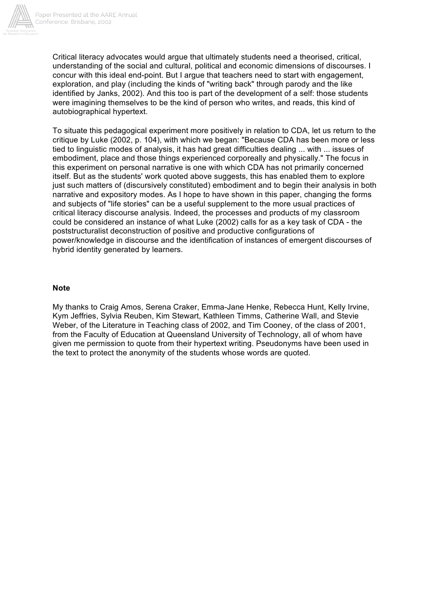

Critical literacy advocates would argue that ultimately students need a theorised, critical, understanding of the social and cultural, political and economic dimensions of discourses. I concur with this ideal end-point. But I argue that teachers need to start with engagement, exploration, and play (including the kinds of "writing back" through parody and the like identified by Janks, 2002). And this too is part of the development of a self: those students were imagining themselves to be the kind of person who writes, and reads, this kind of autobiographical hypertext.

To situate this pedagogical experiment more positively in relation to CDA, let us return to the critique by Luke (2002, p. 104), with which we began: "Because CDA has been more or less tied to linguistic modes of analysis, it has had great difficulties dealing ... with ... issues of embodiment, place and those things experienced corporeally and physically." The focus in this experiment on personal narrative is one with which CDA has not primarily concerned itself. But as the students' work quoted above suggests, this has enabled them to explore just such matters of (discursively constituted) embodiment and to begin their analysis in both narrative and expository modes. As I hope to have shown in this paper, changing the forms and subjects of "life stories" can be a useful supplement to the more usual practices of critical literacy discourse analysis. Indeed, the processes and products of my classroom could be considered an instance of what Luke (2002) calls for as a key task of CDA - the poststructuralist deconstruction of positive and productive configurations of power/knowledge in discourse and the identification of instances of emergent discourses of hybrid identity generated by learners.

### **Note**

My thanks to Craig Amos, Serena Craker, Emma-Jane Henke, Rebecca Hunt, Kelly Irvine, Kym Jeffries, Sylvia Reuben, Kim Stewart, Kathleen Timms, Catherine Wall, and Stevie Weber, of the Literature in Teaching class of 2002, and Tim Cooney, of the class of 2001, from the Faculty of Education at Queensland University of Technology, all of whom have given me permission to quote from their hypertext writing. Pseudonyms have been used in the text to protect the anonymity of the students whose words are quoted.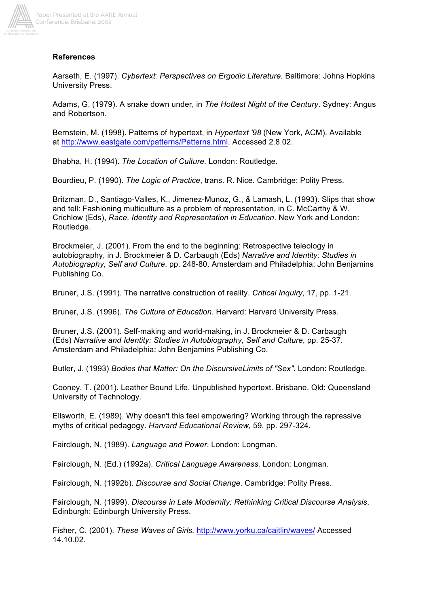

# **References**

Aarseth, E. (1997). *Cybertext: Perspectives on Ergodic Literature.* Baltimore: Johns Hopkins University Press.

Adams, G. (1979). A snake down under, in *The Hottest Night of the Century*. Sydney: Angus and Robertson.

Bernstein, M. (1998). Patterns of hypertext, in *Hypertext '98* (New York, ACM). Available at http://www.eastgate.com/patterns/Patterns.html. Accessed 2.8.02.

Bhabha, H. (1994). *The Location of Culture*. London: Routledge.

Bourdieu, P. (1990). *The Logic of Practice*, trans. R. Nice. Cambridge: Polity Press.

Britzman, D., Santiago-Valles, K., Jimenez-Munoz, G., & Lamash, L. (1993). Slips that show and tell: Fashioning multiculture as a problem of representation, in C. McCarthy & W. Crichlow (Eds), *Race, Identity and Representation in Education*. New York and London: Routledge.

Brockmeier, J. (2001). From the end to the beginning: Retrospective teleology in autobiography, in J. Brockmeier & D. Carbaugh (Eds) *Narrative and Identity: Studies in Autobiography, Self and Culture*, pp. 248-80. Amsterdam and Philadelphia: John Benjamins Publishing Co.

Bruner, J.S. (1991). The narrative construction of reality. *Critical Inquiry*, 17, pp. 1-21.

Bruner, J.S. (1996). *The Culture of Education*. Harvard: Harvard University Press.

Bruner, J.S. (2001). Self-making and world-making, in J. Brockmeier & D. Carbaugh (Eds) *Narrative and Identity: Studies in Autobiography, Self and Culture*, pp. 25-37. Amsterdam and Philadelphia: John Benjamins Publishing Co.

Butler, J. (1993) *Bodies that Matter: On the DiscursiveLimits of "Sex"*. London: Routledge.

Cooney, T. (2001). Leather Bound Life. Unpublished hypertext. Brisbane, Qld: Queensland University of Technology.

Ellsworth, E. (1989). Why doesn't this feel empowering? Working through the repressive myths of critical pedagogy. *Harvard Educational Review*, 59, pp. 297-324.

Fairclough, N. (1989). *Language and Power*. London: Longman.

Fairclough, N. (Ed.) (1992a). *Critical Language Awareness.* London: Longman.

Fairclough, N. (1992b). *Discourse and Social Change*. Cambridge: Polity Press.

Fairclough, N. (1999). *Discourse in Late Modernity: Rethinking Critical Discourse Analysis*. Edinburgh: Edinburgh University Press.

Fisher, C. (2001). *These Waves of Girls.* http://www.yorku.ca/caitlin/waves/ Accessed 14.10.02.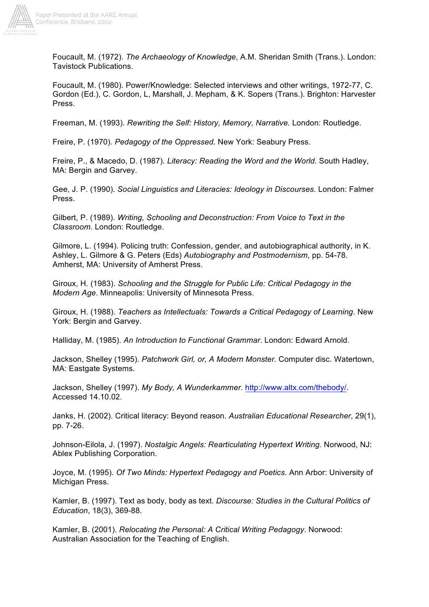

Foucault, M. (1972). *The Archaeology of Knowledge*, A.M. Sheridan Smith (Trans.). London: Tavistock Publications.

Foucault, M. (1980). Power/Knowledge: Selected interviews and other writings, 1972-77, C. Gordon (Ed.), C. Gordon, L, Marshall, J. Mepham, & K. Sopers (Trans.). Brighton: Harvester Press.

Freeman, M. (1993). *Rewriting the Self: History, Memory, Narrative.* London: Routledge.

Freire, P. (1970). *Pedagogy of the Oppressed.* New York: Seabury Press.

Freire, P., & Macedo, D. (1987). *Literacy: Reading the Word and the World.* South Hadley, MA: Bergin and Garvey.

Gee, J. P. (1990). *Social Linguistics and Literacies: Ideology in Discourses*. London: Falmer Press.

Gilbert, P. (1989). *Writing, Schooling and Deconstruction: From Voice to Text in the Classroom*. London: Routledge.

Gilmore, L. (1994). Policing truth: Confession, gender, and autobiographical authority, in K. Ashley, L. Gilmore & G. Peters (Eds) *Autobiography and Postmodernism*, pp. 54-78. Amherst, MA: University of Amherst Press.

Giroux, H. (1983). *Schooling and the Struggle for Public Life: Critical Pedagogy in the Modern Age*. Minneapolis: University of Minnesota Press.

Giroux, H. (1988). *Teachers as Intellectuals: Towards a Critical Pedagogy of Learning*. New York: Bergin and Garvey.

Halliday, M. (1985). *An Introduction to Functional Grammar*. London: Edward Arnold.

Jackson, Shelley (1995). *Patchwork Girl, or, A Modern Monster.* Computer disc. Watertown, MA: Eastgate Systems.

Jackson, Shelley (1997). *My Body, A Wunderkammer*. http://www.altx.com/thebody/. Accessed 14.10.02.

Janks, H. (2002). Critical literacy: Beyond reason. *Australian Educational Researcher*, 29(1), pp. 7-26.

Johnson-Eilola, J. (1997). *Nostalgic Angels: Rearticulating Hypertext Writing.* Norwood, NJ: Ablex Publishing Corporation.

Joyce, M. (1995). *Of Two Minds: Hypertext Pedagogy and Poetics.* Ann Arbor: University of Michigan Press.

Kamler, B. (1997). Text as body, body as text. *Discourse: Studies in the Cultural Politics of Education*, 18(3), 369-88.

Kamler, B. (2001). *Relocating the Personal: A Critical Writing Pedagogy*. Norwood: Australian Association for the Teaching of English.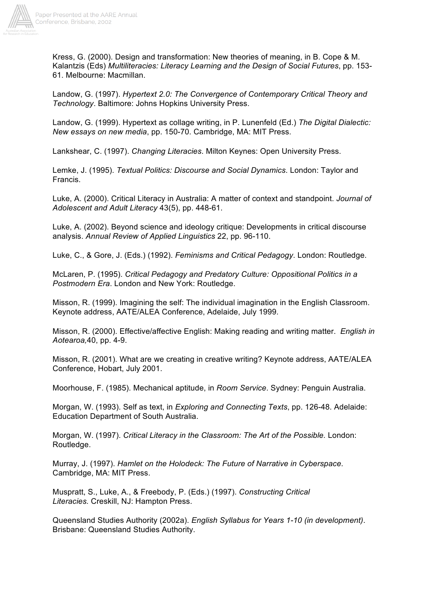

Kress, G. (2000). Design and transformation: New theories of meaning, in B. Cope & M. Kalantzis (Eds) *Multiliteracies: Literacy Learning and the Design of Social Futures*, pp. 153- 61. Melbourne: Macmillan.

Landow, G. (1997). *Hypertext 2.0: The Convergence of Contemporary Critical Theory and Technology*. Baltimore: Johns Hopkins University Press.

Landow, G. (1999). Hypertext as collage writing, in P. Lunenfeld (Ed.) *The Digital Dialectic: New essays on new media*, pp. 150-70. Cambridge, MA: MIT Press.

Lankshear, C. (1997). *Changing Literacies*. Milton Keynes: Open University Press.

Lemke, J. (1995). *Textual Politics: Discourse and Social Dynamics*. London: Taylor and Francis.

Luke, A. (2000). Critical Literacy in Australia: A matter of context and standpoint. *Journal of Adolescent and Adult Literacy* 43(5), pp. 448-61.

Luke, A. (2002). Beyond science and ideology critique: Developments in critical discourse analysis. *Annual Review of Applied Linguistics* 22, pp. 96-110.

Luke, C., & Gore, J. (Eds.) (1992). *Feminisms and Critical Pedagogy*. London: Routledge.

McLaren, P. (1995). *Critical Pedagogy and Predatory Culture: Oppositional Politics in a Postmodern Era*. London and New York: Routledge.

Misson, R. (1999). Imagining the self: The individual imagination in the English Classroom. Keynote address, AATE/ALEA Conference, Adelaide, July 1999.

Misson, R. (2000). Effective/affective English: Making reading and writing matter. *English in Aotearoa,*40, pp. 4-9.

Misson, R. (2001). What are we creating in creative writing? Keynote address, AATE/ALEA Conference, Hobart, July 2001.

Moorhouse, F. (1985). Mechanical aptitude, in *Room Service*. Sydney: Penguin Australia.

Morgan, W. (1993). Self as text, in *Exploring and Connecting Texts*, pp. 126-48. Adelaide: Education Department of South Australia.

Morgan, W. (1997). *Critical Literacy in the Classroom: The Art of the Possible.* London: Routledge.

Murray, J. (1997). *Hamlet on the Holodeck: The Future of Narrative in Cyberspace*. Cambridge, MA: MIT Press.

Muspratt, S., Luke, A., & Freebody, P. (Eds.) (1997). *Constructing Critical Literacies.* Creskill, NJ: Hampton Press.

Queensland Studies Authority (2002a). *English Syllabus for Years 1-10 (in development)*. Brisbane: Queensland Studies Authority.